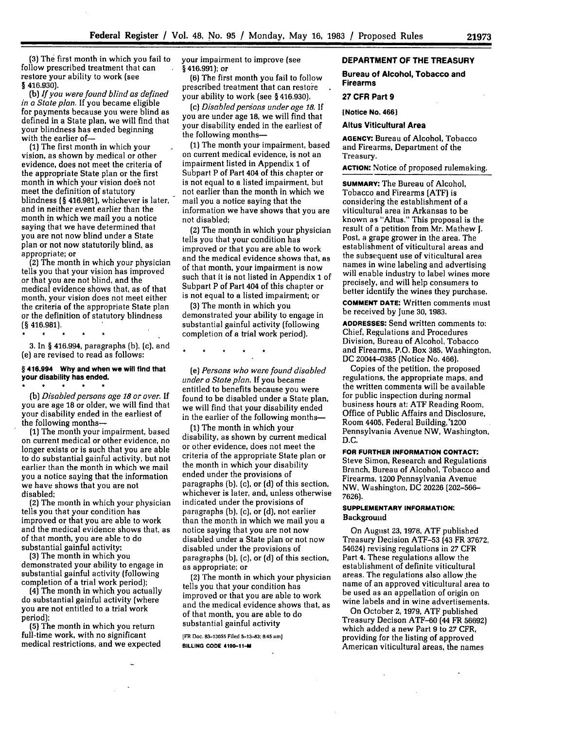**(3)** The first month in which you fail to follow prescribed treatment that can restore your ability to work (see **§ 416.930).**

(b) *If you were found blind as defined in a State plan.* If you became eligible defined in a State plan, we will find that your blindness has ended beginning with the earlier of-

**(1)** The first month in which your vision, as shown **by** medical or other evidence, does not meet the criteria of the appropriate State plan or the first month in which your vision does not meet the definition of statutory blindness **(§** 416.981), whichever is later, and in neither event earlier than the month in which we mail you a notice saying that we have determined that you are not now blind under a State plan or not now statutorily blind, as

 $(2)$  The month in which your physician tells you that your vision has improved or that you are not blind, and the medical evidence shows that, as of that month, your vision does not meet either the criteria of the appropriate State plan or the definition of statutory blindness **(§** 416.981).

3. In **§** 416.994, paragraphs (b), (c), and (e) are revised to read as follows:

 $\star$ 

#### **§ 416.994 Why and when we will find that your disability has ended.**

*(b) Disabled persons age 18 or over.* If you are age 18 or older, we will find that your disability ended in the earliest of the following months-

**(1)** The month your impairment, based on current medical or other evidence, no longer exists or is such that you are able to do substantial gainful activity, but not earlier than the month in which we mail you a notice saying that the information we have shows that you are not disabled;

**(2)** The month in which your physician tells you that your condition has improved or that you are able to work and the medical evidence shows that, as of that month, you are able to do substantial gainful activity;

(3) The month in which you demonstrated your ability to engage in substantial gainful activity (following completion of a trial work period);

(4) The month in which you actually do substantial gainful activity (where you are not entitled to a trial work period);

**(5)** The month in which you return full-time work, with no significant medical restrictions, and we expected your impairment to improve (see **§** 416.991); or

**(6)** The first month you fail to follow prescribed treatment that can restore your ability to work (see **§** 416.930).

(c) *Disabled persons under age 18.* **If** you are under age 18, we will find that your disability ended in the earliest of the following months-

**(1)** The month your impairment, based on current medical evidence, is not an impairment listed in Appendix **1** of Subpart P of Part 404 of this chapter or is not equal to a listed impairment, but not earlier than the month in which we mail you a notice saying that the information we have shows that you are not disabled;

(2) The month in which your physician tells you that your condition has improved or that you are able to work and the medical evidence shows that, as of that month, your impairment is now such that it is not listed in Appendix **1** of Subpart P of Part 404 of this chapter or is not equal to a listed impairment; or

(3) The month in which you demonstrated your ability to engage in substantial gainful activity (following completion of a trial work period).

*(e) Persons who were found disabled under a State plan.* If you became entitled to benefits because you were found to be disabled under a State plan, we will find that your disability ended in the earlier of the following months-

(1) The month in which your disability, as shown by current medical or other evidence, does not meet the criteria of the appropriate State plan or the month in which your disability ended under the provisions of paragraphs (b), (c), or (d) of this section, whichever is later, and, unless otherwise indicated under the provisions of paragraphs (b), (c), or (d), not earlier than the month in which we mail you a notice saying that you are not now disabled under a State plan or not now disabled under the provisions of paragraphs (b), (c), or (d) of this section, as appropriate; or

**(2)** The month in which your physician tells you that your condition has improved or that you are able to work and the medical evidence shows that, as of that month, you are able to do substantial gainful activity

[FR **Doc. 83-13055 Filed 5-13-83:8:45 am]**

**BILLING CODE 4190-11-M**

# **DEPARTMENT OF THE TREASURY**

**Bureau of Alcohol, Tobacco and Firearms**

**27 CFR Part 9**

**[Notice No. 4661**

### **Altus Viticultural Area**

**AGENCY:** Bureau of Alcohol, Tobacco and Firearms, Department of the Treasury.

**ACTION:** Notice of proposed rulemaking.

**SUMMARY: The** Bureau **of Alcohol,** Tobacco and Firearms (ATF) is considering the establishment of a viticultural area in Arkansas to be known as "Altus." This proposal is the result of a petition from Mr. Mathew **J.** Post, a grape grower in the area. The establishment of viticultural areas and the subsequent use of viticultural area names in wine labeling and advertising will enable industry to label wines more precisely, and will help consumers to better identify the wines they purchase.

**COMMENT DATE:** Written comments must be received by June **30, 1983.**

**ADDRESSES:** Send written comments to: Chief, Regulations and Procedures Division, Bureau of Alcohol, Tobacco and Firearms, P.O. Box 385, Washington, DC 20044-0385 (Notice No. 466).

Copies of the petition, the proposed regulations, the appropriate maps, and the written comments will be available for public inspection during normal business hours at: ATF Reading Room, Office of Public Affairs and Disclosure, Room 4405, Federal Building,'1200 Pennsylvania Avenue NW, Washington, D.C.

**FOR FURTHER INFORMATION CONTACT:**

Steve Simon, Research and Regulations Branch, Bureau of Alcohol, Tobacco and Firearms, 1200 Pennsylvania Avenue NW, Washington, DC **20226 (202-566- 7626).**

### **SUPPLEMENTARY INFORMATION: Background**

On August 23, **1978,** ATF published Treasury Decision ATF-53 (43 FR 37672, 54624) revising regulations in **27** CFR Part 4. These regulations allow the establishment of definite viticultural areas. The regulations also allow the name of an approved viticultural area to be used as an appellation of origin on wine labels and in wine advertisements.

On October 2, **1979,** ATF published Treasury Decison ATF-60 (44 FR 56692) which added a new Part **9** to **27** CFR, providing for the listing of approved American viticultural areas, the names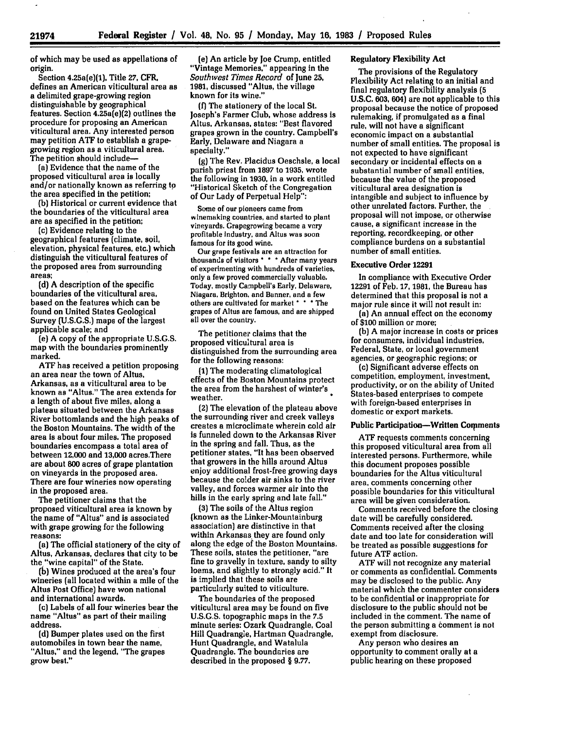of which may be used as appellations of origin.

Section 4.25a(e)(1), Title **27, CFR,** defines an American viticultural area as a delimited grape-growing region distinguishable **by** geographical features. Section 4.25a(e)(2) outlines the procedure for proposing an American viticultural area. Any interested person may petition **ATF** to establish a grapegrowing region as a viticultural area. The petition should include-

(a) Evidence that the name of the proposed viticultural area is locally and/or nationally known as referring to the area specified in the petition;

**(b)** Historical or current evidence that the boundaries of the viticultural area are as specified in the petition;

(c) Evidence relating to the geographical features (climate, soil, elevation, physical features, etc.) which distinguish the viticultural features of the proposed area from surrounding areas;

**(d) A** description of the specific boundaries of the viticultural area, based on the features which can be found on United States Geological Survey **(U.S.G.S.)** maps of the largest applicable scale; and

(e) **A** copy of the appropriate **U.S.G.S.** map with the boundaries prominently marked.

**ATF** has received a petition proposing an area near the town **of** Altus, Arkansas, as a viticultural area to be known as "Altus." The area extends for a length of about five miles, along a plateau situated between the Arkansas River bottomlands and the high peaks of the Boston Mountains. The width of the area is about four miles. The proposed boundaries encompass a total area of between **12,000** and **13,000** acres.There are about **800** acres of grape plantation on vineyards in the proposed area. There are four wineries now operating in the proposed area.

The petitioner claims that the proposed viticultural area is known **by** the name of "Altus" and is associated with grape growing for the following reasons:

(a) The official stationery of the city of Altus, Arkansas, declares that city to be the "wine capital" of the State.

**(b)** Wines produced at the area's four wineries (all located within a mile of the Altus Post Office) have won national and international awards.

(c) Labels of all four wineries bear the name "Altus" as part of their mailing address.

**(d)** Bumper plates used on the first automobiles in town bear the name, "Altus," and the legend, "The grapes grow best."

**(e)** An article **by** Joe Crump, entitled "Vintage Memories," appearing in the *Southwest Times Record* of June 25, **1981,** discussed "Altus, the village known for its wine."

**(f)** The stationery of the local St. Joseph's Farmer Club, whose address is Altus, Arkansas, states: "Best flavored grapes grown in the country. Campbell's Early, Delaware and Niagara a specialty."

**(g)** The Rev. Placidus Oeschsle, a local parish priest from **1897** to **1935,** wrote the following in **1930,** in a work entitled "Historical Sketch of the Congregation of Our Lady of Perpetual Help":

Some of our pioneers came from winemaking countries, and started to plant vineyards. Grapegrowing became a very profitable industry, and Altus was soon famous for its good wine.

Our grape festivals are an attraction for thousands of visitors **\* \*** After many years of experimenting with hundreds of varieties, only a few proved commercially valuable. Today, mostly Campbell's Early, Delaware, Niagara, Brighton, and Banner, and a few others are cultivated for market **\* \*** \*The grapes of Altus are famous, and are shipped all over the country.

The petitioner claims that the proposed viticultural area is distinguished from the surrounding area for the following reasons:

**(1)** The moderating climatological effects of the Boston Mountains protect the area from the harshest of winter's weather.

(2) The elevation of the plateau above the surrounding river and creek valleys creates a microclimate wherein cold air is funneled down to the Arkansas River in the spring and fall. Thus, as the petitioner states, "It has been observed that growers in the hills around Altus enjoy additional frost-free growing days because the colder air sinks to the river valley, and forces warmer air into the hills in the early spring and late fall."

**(3)** The soils of the Altus region (known as the Linker-Mountainburg association) are distinctive in that within Arkansas they are found only along the edge of the Boston Mountains. These soils, states the petitioner, "are fine to gravelly in texture, sandy to silty loams, and slightly to strongly acid." It is implied that these soils are particularly suited to viticulture.

The boundaries of the proposed viticultural area may be found on five U.S.G.S. topographic maps in the **7.5** minute series: Ozark Quadrangle, Coal Hill Quadrangle, Hartman Quadrangle, Hunt Quadrangle, and Watalula Quadrangle. The boundaries are described in the proposed § 9.77.

# Regulatory Flexibility Act

The provisions of the Regulatory Flexibility Act relating to an initial and final regulatory flexibility analysis **(5 U.S.C. 603,** 604) are not applicable to this proposal because the notice of proposed rulemaking, if promulgated as a final rule, will not have a significant economic impact on a substantial number of small entities. The proposal is not expected to have significant secondary or incidental effects on a substantial number of small entities, because the value of the proposed viticultural area designation is intangible and subject to influence **by** other unrelated factors. Further, the proposal will not impose, or otherwise cause, a significant increase in the reporting, recordkeeping, or other compliance burdens on a substantial number of small entities.

## Executive Order **12291**

In compliance with Executive Order 12291 of Feb. **17,** 1981, the Bureau has determined that this proposal is not a major rule since it will not result in:

(a) An annual effect on the economy of **\$100** million or more;

(b) A major increase In costs or prices for consumers, individual industries, Federal, State, or local government agencies, or geographic regions; or

(c) Significant adverse effects on competition, employment, investment, productivity, or on the ability of United States-based enterprises to compete with foreign-based enterprises in domestic or export markets.

#### Public Participation-Written Comments

**ATF** requests comments concerning this proposed viticultural area from all interested persons. Furthermore, while this document proposes possible boundaries for the Altus viticultural area, comments concerning other possible boundaries for this viticultural area will be given consideration.

Comments received before the closing date will be carefully considered. Comments received after the closing date and too late for consideration will be treated as possible suggestions for future **ATF** action.

**ATF** will not recognize any material or comments as confidential. Comments may be disclosed to the public. Any material which the commenter considers to be confidential or inappropriate for disclosure to the public should not be included in the comment. The name of the person submitting a comment is not exempt from disclosure.

Any person who desires an opportunity to comment orally at a public hearing on these proposed